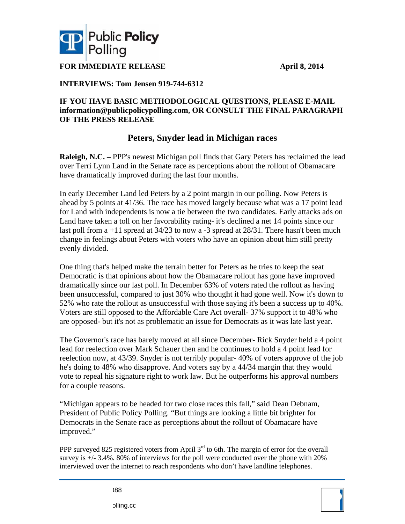

**FOR IMMEDIATE RELEASE** 

 **April 8 8, 2014** 

## **INTE ERVIEWS: Tom Jense en 919-744-6 6312**

## IF YOU HAVE BASIC METHODOLOGICAL QUESTIONS, PLEASE E-MAIL  $\text{information@publicpolicypolling.com, OR CONSULT THE FINAL PARAGRAPH}$ **OF THE PRESS RELEASE**

## **Peters Es, Snyder l lead in Mi ichigan ra aces**

Raleigh, N.C. - PPP's newest Michigan poll finds that Gary Peters has reclaimed the lead over Terri Lynn Land in the Senate race as perceptions about the rollout of Obamacare have dramatically improved during the last four months.

In early December Land led Peters by a 2 point margin in our polling. Now Peters is ahead by 5 points at 41/36. The race has moved largely because what was a 17 point lead for Land with independents is now a tie between the two candidates. Early attacks ads on Land have taken a toll on her favorability rating- it's declined a net 14 points since our last poll from  $a + 11$  spread at  $34/23$  to now a  $-3$  spread at  $28/31$ . There hasn't been much change in feelings about Peters with voters who have an opinion about him still pretty evenl ly divided. ad on<br>ch<br>h<br>u to<br>%.

One thing that's helped make the terrain better for Peters as he tries to keep the seat Democratic is that opinions about how the Obamacare rollout has gone have improved dramatically since our last poll. In December 63% of voters rated the rollout as having been unsuccessful, compared to just 30% who thought it had gone well. Now it's down to 52% who rate the rollout as unsuccessful with those saying it's been a success up to 40% Voters are still opposed to the Affordable Care Act overall- 37% support it to 48% who are opposed- but it's not as problematic an issue for Democrats as it was late last year.

The Governor's race has barely moved at all since December- Rick Snyder held a 4 point lead for reelection over Mark Schauer then and he continues to hold a 4 point lead for reelection now, at 43/39. Snyder is not terribly popular- 40% of voters approve of the job he's doing to 48% who disapprove. And voters say by a 44/34 margin that they would vote to repeal his signature right to work law. But he outperforms his approval numbers for a couple reasons. it<br>b

"Michigan appears to be headed for two close races this fall," said Dean Debnam, President of Public Policy Polling. "But things are looking a little bit brighter for Democrats in the Senate race as perceptions about the rollout of Obamacare have improved."

PPP surveyed 825 registered voters from April  $3<sup>rd</sup>$  to 6th. The margin of error for the overall survey is  $+/- 3.4\%$ . 80% of interviews for the poll were conducted over the phone with 20% interviewed over the internet to reach respondents who don't have landline telephones.

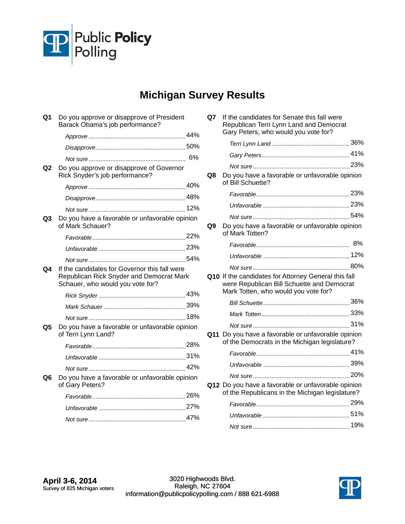

## **Michigan Survey Results**

| Q1 | Do you approve or disapprove of President<br>Barack Obama's job performance?                                                  |  |
|----|-------------------------------------------------------------------------------------------------------------------------------|--|
|    |                                                                                                                               |  |
|    |                                                                                                                               |  |
|    |                                                                                                                               |  |
| Q2 | Do you approve or disapprove of Governor<br>Rick Snyder's job performance?                                                    |  |
|    |                                                                                                                               |  |
|    |                                                                                                                               |  |
|    |                                                                                                                               |  |
| Q3 | Do you have a favorable or unfavorable opinion<br>of Mark Schauer?                                                            |  |
|    |                                                                                                                               |  |
|    |                                                                                                                               |  |
|    |                                                                                                                               |  |
| Q4 | If the candidates for Governor this fall were<br>Republican Rick Snyder and Democrat Mark<br>Schauer, who would you vote for? |  |
|    |                                                                                                                               |  |
|    |                                                                                                                               |  |
|    |                                                                                                                               |  |
| Q5 | Do you have a favorable or unfavorable opinion<br>of Terri Lynn Land?                                                         |  |
|    |                                                                                                                               |  |
|    |                                                                                                                               |  |
|    |                                                                                                                               |  |
| Q6 | Do you have a favorable or unfavorable opinion<br>of Gary Peters?                                                             |  |
|    |                                                                                                                               |  |
|    |                                                                                                                               |  |
|    |                                                                                                                               |  |

| Q7 | If the candidates for Senate this fall were<br>Republican Terri Lynn Land and Democrat<br>Gary Peters, who would you vote for?             |  |
|----|--------------------------------------------------------------------------------------------------------------------------------------------|--|
|    |                                                                                                                                            |  |
|    |                                                                                                                                            |  |
|    |                                                                                                                                            |  |
| Q8 | Do you have a favorable or unfavorable opinion<br>of Bill Schuette?                                                                        |  |
|    |                                                                                                                                            |  |
|    |                                                                                                                                            |  |
|    |                                                                                                                                            |  |
| Q9 | Do you have a favorable or unfavorable opinion<br>of Mark Totten?                                                                          |  |
|    |                                                                                                                                            |  |
|    |                                                                                                                                            |  |
|    |                                                                                                                                            |  |
|    | Q10 If the candidates for Attorney General this fall<br>were Republican Bill Schuette and Democrat<br>Mark Totten, who would you vote for? |  |
|    |                                                                                                                                            |  |
|    |                                                                                                                                            |  |
|    |                                                                                                                                            |  |
|    | Q11 Do you have a favorable or unfavorable opinion<br>of the Democrats in the Michigan legislature?                                        |  |
|    |                                                                                                                                            |  |
|    |                                                                                                                                            |  |
|    |                                                                                                                                            |  |
|    | Q12 Do you have a favorable or unfavorable opinion<br>of the Republicans in the Michigan legislature?                                      |  |
|    |                                                                                                                                            |  |
|    |                                                                                                                                            |  |
|    |                                                                                                                                            |  |

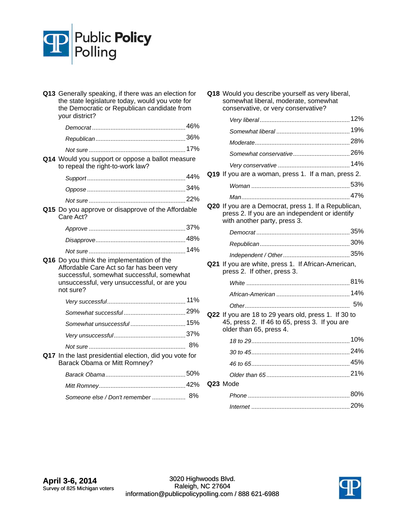

| Q13 Generally speaking, if there was an election for<br>the state legislature today, would you vote for<br>the Democratic or Republican candidate from<br>your district?                        |    |
|-------------------------------------------------------------------------------------------------------------------------------------------------------------------------------------------------|----|
|                                                                                                                                                                                                 |    |
|                                                                                                                                                                                                 |    |
|                                                                                                                                                                                                 |    |
| Q14 Would you support or oppose a ballot measure<br>to repeal the right-to-work law?                                                                                                            |    |
|                                                                                                                                                                                                 |    |
|                                                                                                                                                                                                 |    |
|                                                                                                                                                                                                 |    |
| Q15 Do you approve or disapprove of the Affordable<br>Care Act?                                                                                                                                 |    |
|                                                                                                                                                                                                 |    |
|                                                                                                                                                                                                 |    |
|                                                                                                                                                                                                 |    |
| Q16 Do you think the implementation of the<br>Affordable Care Act so far has been very<br>successful, somewhat successful, somewhat<br>unsuccessful, very unsuccessful, or are you<br>not sure? |    |
|                                                                                                                                                                                                 |    |
|                                                                                                                                                                                                 |    |
|                                                                                                                                                                                                 |    |
|                                                                                                                                                                                                 |    |
|                                                                                                                                                                                                 | 8% |
| Q17 In the last presidential election, did you vote for<br>Barack Obama or Mitt Romney?                                                                                                         |    |
|                                                                                                                                                                                                 |    |
|                                                                                                                                                                                                 |    |
| Someone else / Don't remember  8%                                                                                                                                                               |    |

| Q18 Would you describe yourself as very liberal, |
|--------------------------------------------------|
| somewhat liberal, moderate, somewhat             |
| conservative, or very conservative?              |
|                                                  |

| Q19 If you are a woman, press 1. If a man, press 2.                                                                                    |  |
|----------------------------------------------------------------------------------------------------------------------------------------|--|
|                                                                                                                                        |  |
|                                                                                                                                        |  |
| Q20 If you are a Democrat, press 1. If a Republican,<br>press 2. If you are an independent or identify<br>with another party, press 3. |  |
|                                                                                                                                        |  |
|                                                                                                                                        |  |
|                                                                                                                                        |  |
| Q21 If you are white, press 1. If African-American,<br>press 2. If other, press 3.                                                     |  |
|                                                                                                                                        |  |
|                                                                                                                                        |  |
|                                                                                                                                        |  |
| Q22 If you are 18 to 29 years old, press 1. If 30 to<br>45, press 2. If 46 to 65, press 3. If you are<br>older than 65, press 4.       |  |
|                                                                                                                                        |  |
|                                                                                                                                        |  |
|                                                                                                                                        |  |
|                                                                                                                                        |  |
| Q23 Mode                                                                                                                               |  |
|                                                                                                                                        |  |
|                                                                                                                                        |  |

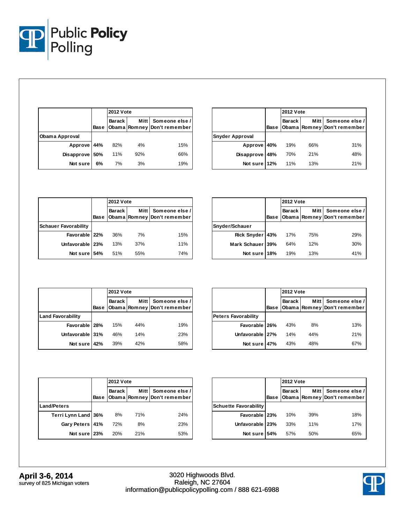

|                |             | <b>2012 Vote</b> |             |                                               |
|----------------|-------------|------------------|-------------|-----------------------------------------------|
|                | <b>Base</b> | Barack I         | <b>Mitt</b> | Someone else /<br>Obama Romney Don't remember |
| Obama Approval |             |                  |             |                                               |
| Approve 44%    |             | 82%              | 4%          | 15%                                           |
| Disapprove     | 50%         | 11%              | 92%         | 66%                                           |
| Not sure       | 6%          | 7%               | 3%          | 19%                                           |

|                   |      | <b>2012 Vote</b> |             |                                               |
|-------------------|------|------------------|-------------|-----------------------------------------------|
|                   | Base | Barack I         | <b>Mitt</b> | Someone else /<br>Obama Romney Don't remember |
| Snyder Approval   |      |                  |             |                                               |
| Approve 40%       |      | 19%              | 66%         | 31%                                           |
| <b>Disapprove</b> | 48%  | 70%              | 21%         | 48%                                           |
| Not sure 12%      |      | 11%              | 13%         | 21%                                           |

|                             |      |               | <b>2012 Vote</b> |                                               |  |
|-----------------------------|------|---------------|------------------|-----------------------------------------------|--|
|                             | Base | <b>Barack</b> | <b>Mitt</b>      | Someone else /<br>Obama Romney Don't remember |  |
| <b>Schauer Favorability</b> |      |               |                  |                                               |  |
| Favorable 22%               |      | 36%           | 7%               | 15%                                           |  |
| Unfavorable 23%             |      | 13%           | 37%              | 11%                                           |  |
| Not sure 54%                |      | 51%           | 55%              | 74%                                           |  |

|                  |      |               | <b>2012 Vote</b> |                                               |  |
|------------------|------|---------------|------------------|-----------------------------------------------|--|
|                  | Base | <b>Barack</b> | <b>Mitt</b>      | Someone else /<br>Obama Romney Don't remember |  |
| Snyder/Schauer   |      |               |                  |                                               |  |
| Rick Snyder 43%  |      | 17%           | 75%              | 29%                                           |  |
| Mark Schauer 39% |      | 64%           | 12%              | 30%                                           |  |
| Not sure         | 18%  | 19%           | 13%              | 41%                                           |  |

|                          |      |          | <b>2012 Vote</b> |                                                      |  |
|--------------------------|------|----------|------------------|------------------------------------------------------|--|
|                          | Base | Barack I |                  | Mitt   Someone else /<br>Obama Romney Don't remember |  |
| <b>Land Favorability</b> |      |          |                  |                                                      |  |
| Favorable   28%          |      | 15%      | 44%              | 19%                                                  |  |
| Unfavorable 31%          |      | 46%      | 14%              | 23%                                                  |  |
| Not sure                 | 42%  | 39%      | 42%              | 58%                                                  |  |

|                            |      |               | <b>2012 Vote</b> |                                               |  |
|----------------------------|------|---------------|------------------|-----------------------------------------------|--|
|                            | Base | <b>Barack</b> | <b>Mitt</b>      | Someone else /<br>Obama Romney Don't remember |  |
| <b>Peters Favorability</b> |      |               |                  |                                               |  |
| Favorable 26%              |      | 43%           | 8%               | 13%                                           |  |
| Unfavorable 27%            |      | 14%           | 44%              | 21%                                           |  |
| Not sure                   | 47%  | 43%           | 48%              | 67%                                           |  |

|                     |      |               | <b>2012 Vote</b> |                                               |  |
|---------------------|------|---------------|------------------|-----------------------------------------------|--|
|                     | Base | <b>Barack</b> | <b>Mitt</b>      | Someone else /<br>Obama Romney Don't remember |  |
| <b>Land/Peters</b>  |      |               |                  |                                               |  |
| Terri Lynn Land 36% |      | 8%            | 71%              | 24%                                           |  |
| Gary Peters 41%     |      | 72%           | 8%               | 23%                                           |  |
| Not sure 23%        |      | 20%           | 21%              | 53%                                           |  |

|                              |                              | <b>2012 Vote</b> |        |                                               |  |  |
|------------------------------|------------------------------|------------------|--------|-----------------------------------------------|--|--|
|                              | <b>Barack</b><br><b>Base</b> |                  | Mitt I | Someone else /<br>Obama Romney Don't remember |  |  |
| <b>Schuette Favorability</b> |                              |                  |        |                                               |  |  |
| Favorable 23%                |                              | 10%              | 39%    | 18%                                           |  |  |
| Unfavorable 23%              |                              | 33%              | 11%    | 17%                                           |  |  |
| Not sure 54%                 |                              | 57%              | 50%    | 65%                                           |  |  |

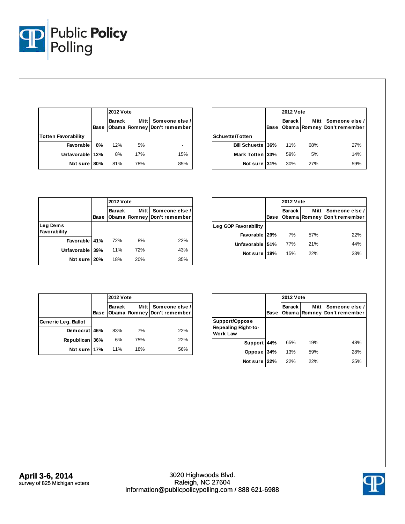

|                            |                       | <b>2012 Vote</b> |             |                                               |  |  |
|----------------------------|-----------------------|------------------|-------------|-----------------------------------------------|--|--|
|                            | <b>Barack</b><br>Base |                  | <b>Mitt</b> | Someone else /<br>Obama Romney Don't remember |  |  |
| <b>Totten Favorability</b> |                       |                  |             |                                               |  |  |
| Favorable                  | 8%                    | 12%              | 5%          |                                               |  |  |
| Unfavorable 12%            |                       | 8%               | 17%         | 15%                                           |  |  |
| Not sure 180%              |                       | 81%              | 78%         | 85%                                           |  |  |

|                           |      | <b>2012 Vote</b> |             |                                               |  |  |
|---------------------------|------|------------------|-------------|-----------------------------------------------|--|--|
|                           | Base | Barack I         | <b>Mitt</b> | Someone else /<br>Obama Romney Don't remember |  |  |
| Schuette/Totten           |      |                  |             |                                               |  |  |
| <b>Bill Schuette 136%</b> |      | 11%              | 68%         | 27%                                           |  |  |
| Mark Totten 33%           |      | 59%              | 5%          | 14%                                           |  |  |
| Not sure 31%              |      | 30%              | 27%         | 59%                                           |  |  |

|                          |      | <b>2012 Vote</b> |             |                                               |  |  |  |  |
|--------------------------|------|------------------|-------------|-----------------------------------------------|--|--|--|--|
|                          | Base | <b>Barack</b>    | <b>Mitt</b> | Someone else /<br>Obama Romney Don't remember |  |  |  |  |
| Leg Dems<br>Favorability |      |                  |             |                                               |  |  |  |  |
| Favorable 41%            |      | 72%              | 8%          | 22%                                           |  |  |  |  |
| Unfavorable 39%          |      | 11%              | 72%         | 43%                                           |  |  |  |  |
| Not sure                 | 20%  | 18%              | 20%         | 35%                                           |  |  |  |  |

|                      |      |               | <b>2012 Vote</b> |                                               |  |  |  |
|----------------------|------|---------------|------------------|-----------------------------------------------|--|--|--|
|                      | Base | <b>Barack</b> | Mitt I           | Someone else /<br>Obama Romney Don't remember |  |  |  |
| Leg GOP Favorability |      |               |                  |                                               |  |  |  |
| Favorable   29%      |      | 7%            | 57%              | 22%                                           |  |  |  |
| Unfavorable 51%      |      | 77%           | 21%              | 44%                                           |  |  |  |
| Not sure 19%         |      | 15%           | 22%              | 33%                                           |  |  |  |

|                     |      | <b>2012 Vote</b> |             |                                               |  |  |  |
|---------------------|------|------------------|-------------|-----------------------------------------------|--|--|--|
|                     | Base | <b>Barack</b>    | <b>Mitt</b> | Someone else /<br>Obama Romney Don't remember |  |  |  |
| Generic Leg. Ballot |      |                  |             |                                               |  |  |  |
| Democrat 46%        |      | 83%              | 7%          | 22%                                           |  |  |  |
| Republican 36%      |      | 6%               | 75%         | 22%                                           |  |  |  |
| Not sure 17%        |      | 11%              | 18%         | 56%                                           |  |  |  |

|                                                                 |      | <b>2012 Vote</b> |             |                                               |  |  |
|-----------------------------------------------------------------|------|------------------|-------------|-----------------------------------------------|--|--|
|                                                                 | Base | Barack           | <b>Mitt</b> | Someone else /<br>Obama Romney Don't remember |  |  |
| Support/Oppose<br><b>Repealing Right-to-</b><br><b>Work Law</b> |      |                  |             |                                               |  |  |
| Support                                                         | 44%  | 65%              | 19%         | 48%                                           |  |  |
| Oppose                                                          | 34%  | 13%              | 59%         | 28%                                           |  |  |
| Not sure                                                        | 22%  | 22%              | 22%         | 25%                                           |  |  |

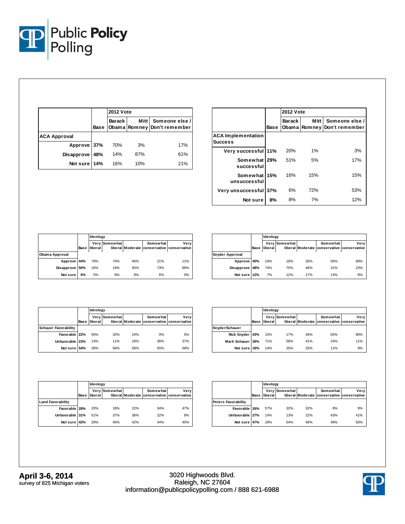

|                     |      | <b>2012 Vote</b> |             |                                               |  |  |
|---------------------|------|------------------|-------------|-----------------------------------------------|--|--|
|                     | Base | Barack I         | <b>Mitt</b> | Someone else /<br>Obama Romney Don't remember |  |  |
| <b>ACA Approval</b> |      |                  |             |                                               |  |  |
| Approve 37%         |      | 70%              | 3%          | 17%                                           |  |  |
| Disapprove          | 48%  | 14%              | 87%         | 61%                                           |  |  |
| Not sure 14%        |      | 16%              | 10%         | 21%                                           |  |  |

|                                             |      | <b>2012 Vote</b> |             |                                               |  |  |  |
|---------------------------------------------|------|------------------|-------------|-----------------------------------------------|--|--|--|
|                                             | Base | <b>Barack</b>    | <b>Mitt</b> | Someone else /<br>Obama Romney Don't remember |  |  |  |
| <b>ACA Implementation</b><br><b>Success</b> |      |                  |             |                                               |  |  |  |
| Very successful 11%                         |      | 20%              | 1%          | 3%                                            |  |  |  |
| Somewhat 29%<br>successful                  |      | 51%              | 5%          | 17%                                           |  |  |  |
| Somewhat<br>unsuccessful                    | 15%  | 16%              | 15%         | 15%                                           |  |  |  |
| Very unsuccessful 37%                       |      | 6%               | 72%         | 53%                                           |  |  |  |
| Not sure                                    | 8%   | 8%               | 7%          | 12%                                           |  |  |  |

|                |      | Ideology |               |     |                                                        |      |  |  |
|----------------|------|----------|---------------|-----|--------------------------------------------------------|------|--|--|
|                | Base | liberal  | Very Somewhat |     | Somewhat<br>liberal Moderate conservative conservative | Very |  |  |
| Obama Approval |      |          |               |     |                                                        |      |  |  |
| Approve 44%    |      | 79%      | 74%           | 46% | 21%                                                    | 11%  |  |  |
| Disapprove 50% |      | 16%      | 19%           | 45% | 73%                                                    | 89%  |  |  |
| Not sure       | 6%   | 5%       | 8%            | 9%  | 6%                                                     | 0%   |  |  |

|                        |      |         | Ideology      |     |                                                        |      |  |  |  |
|------------------------|------|---------|---------------|-----|--------------------------------------------------------|------|--|--|--|
|                        | Base | liberal | Very Somewhat |     | Somewhat<br>liberal Moderate conservative conservative | Very |  |  |  |
| <b>Snyder Approval</b> |      |         |               |     |                                                        |      |  |  |  |
| Approve 40%            |      | 19%     | 18%           | 35% | 56%                                                    | 69%  |  |  |  |
| Disapprove 48%         |      | 74%     | 70%           | 48% | 31%                                                    | 23%  |  |  |  |
| Not sure 12%           |      | 7%      | 12%           | 17% | 13%                                                    | 8%   |  |  |  |

|                             |      |         | Ideology      |     |                                                        |      |  |  |  |
|-----------------------------|------|---------|---------------|-----|--------------------------------------------------------|------|--|--|--|
|                             | Base | liberal | Very Somewhat |     | Somewhat<br>liberal Moderate conservative conservative | Very |  |  |  |
| <b>Schauer Favorability</b> |      |         |               |     |                                                        |      |  |  |  |
| Favorable 22%               |      | 50%     | 32%           | 24% | 9%                                                     | 5%   |  |  |  |
| Unfavorable 23%             |      | 14%     | 11%           | 18% | 36%                                                    | 37%  |  |  |  |
| Not sure 54%                |      | 36%     | 56%           | 58% | 55%                                                    | 58%  |  |  |  |

|                  |             | Ideology |               |     |                                                        |      |  |
|------------------|-------------|----------|---------------|-----|--------------------------------------------------------|------|--|
|                  | <b>Base</b> | liberal  | Very Somewhat |     | Somewhat<br>liberal Moderate conservative conservative | Very |  |
| Snyder/Schauer   |             |          |               |     |                                                        |      |  |
| Rick Snyder 43%  |             | 15%      | 17%           | 34% | 65%                                                    | 80%  |  |
| Mark Schauer 39% |             | 71%      | 58%           | 41% | 24%                                                    | 11%  |  |
| Not sure 18%     |             | 14%      | 25%           | 25% | 11%                                                    | 9%   |  |

|                          |      |         | Ideology      |     |                                                        |      |  |  |
|--------------------------|------|---------|---------------|-----|--------------------------------------------------------|------|--|--|
|                          | Base | liberal | Very Somewhat |     | Somewhat<br>liberal Moderate conservative conservative | Verv |  |  |
| <b>Land Favorability</b> |      |         |               |     |                                                        |      |  |  |
| Favorable 28%            |      | 20%     | 18%           | 22% | 34%                                                    | 47%  |  |  |
| Unfavorable 31%          |      | 51%     | 37%           | 36% | 22%                                                    | 8%   |  |  |
| Not sure 42%             |      | 29%     | 45%           | 42% | 44%                                                    | 45%  |  |  |

|                            |             | Ideology |               |     |                                                        |      |  |
|----------------------------|-------------|----------|---------------|-----|--------------------------------------------------------|------|--|
|                            | <b>Base</b> | liberall | Very Somewhat |     | Somewhat<br>liberal Moderate conservative conservative | Verv |  |
| <b>Peters Favorability</b> |             |          |               |     |                                                        |      |  |
| Favorable 26%              |             | 57%      | 32%           | 32% | 9%                                                     | 9%   |  |
| Unfavorable 27%            |             | 14%      | 13%           | 22% | 43%                                                    | 41%  |  |
| Not sure 47%               |             | 29%      | 54%           | 46% | 48%                                                    | 50%  |  |

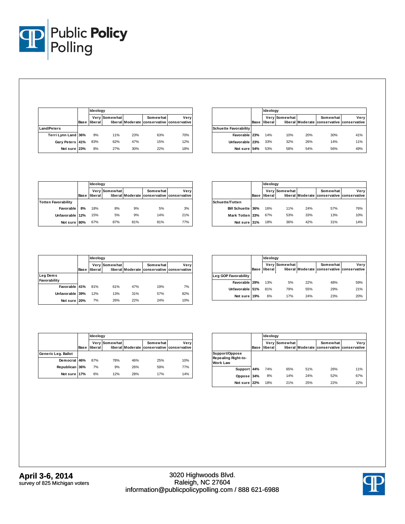

|                     |             |         | Ideoloav      |     |                                                        |      |  |  |
|---------------------|-------------|---------|---------------|-----|--------------------------------------------------------|------|--|--|
|                     | <b>Base</b> | liberal | Very Somewhat |     | Somewhat<br>liberal Moderate conservative conservative | Very |  |  |
| <b>Land/Peters</b>  |             |         |               |     |                                                        |      |  |  |
| Terri Lynn Land 36% |             | 9%      | 11%           | 23% | 63%                                                    | 70%  |  |  |
| Gary Peters 41%     |             | 83%     | 62%           | 47% | 15%                                                    | 12%  |  |  |
| Not sure 23%        |             | 8%      | 27%           | 30% | 22%                                                    | 18%  |  |  |

|                              |      | Ideology |               |                  |          |                                   |  |
|------------------------------|------|----------|---------------|------------------|----------|-----------------------------------|--|
|                              | Base | liberal  | Very Somewhat | liberal Moderate | Somewhat | Verv<br>conservative conservative |  |
| <b>Schuette Favorability</b> |      |          |               |                  |          |                                   |  |
| Favorable 23%                |      | 14%      | 10%           | 20%              | 30%      | 41%                               |  |
| Unfavorable   23%            |      | 33%      | 32%           | 26%              | 14%      | 11%                               |  |
| Not sure 54%                 |      | 53%      | 58%           | 54%              | 56%      | 49%                               |  |

|                            |             | Ideoloav |                      |     |                                                        |      |  |
|----------------------------|-------------|----------|----------------------|-----|--------------------------------------------------------|------|--|
|                            | <b>Base</b> | liberal  | <b>Very Somewhat</b> |     | Somewhat<br>liberal Moderate conservative conservative | Very |  |
| <b>Totten Favorability</b> |             |          |                      |     |                                                        |      |  |
| Favorable                  | 8%          | 18%      | 8%                   | 9%  | 5%                                                     | 3%   |  |
| Unfavorable 12%            |             | 15%      | 5%                   | 9%  | 14%                                                    | 21%  |  |
| Not sure 80%               |             | 67%      | 87%                  | 81% | 81%                                                    | 77%  |  |

|                          |             | Ideology |               |     |                                                        |      |  |
|--------------------------|-------------|----------|---------------|-----|--------------------------------------------------------|------|--|
|                          | <b>Base</b> | liberall | Very Somewhat |     | Somewhat<br>liberal Moderate conservative conservative | Verv |  |
| Schuette/Totten          |             |          |               |     |                                                        |      |  |
| <b>Bill Schuette 36%</b> |             | 16%      | 11%           | 24% | 57%                                                    | 76%  |  |
| Mark Totten 33%          |             | 67%      | 53%           | 33% | 13%                                                    | 10%  |  |
| Not sure 31%             |             | 18%      | 36%           | 42% | 31%                                                    | 14%  |  |

|                          |      | Ideology |               |     |                                                        |      |  |
|--------------------------|------|----------|---------------|-----|--------------------------------------------------------|------|--|
|                          | Base | liberal  | Very Somewhat |     | Somewhat<br>liberal Moderate conservative conservative | Very |  |
| Leg Dems<br>Favorability |      |          |               |     |                                                        |      |  |
| Favorable 41%            |      | 81%      | 61%           | 47% | 19%                                                    | 7%   |  |
| Unfavorable 39%          |      | 12%      | 13%           | 31% | 57%                                                    | 82%  |  |
| Not sure                 | 20%  | 7%       | 26%           | 22% | 24%                                                    | 10%  |  |

|                      |             | Ideology       |               |     |                                                        |      |  |
|----------------------|-------------|----------------|---------------|-----|--------------------------------------------------------|------|--|
|                      | <b>Base</b> | <b>liberal</b> | Very Somewhat |     | Somewhat<br>liberal Moderate conservative conservative | Verv |  |
| Leg GOP Favorability |             |                |               |     |                                                        |      |  |
| Favorable 29%        |             | 13%            | 5%            | 22% | 48%                                                    | 59%  |  |
| Unfavorable 51%      |             | 81%            | 79%           | 55% | 29%                                                    | 21%  |  |
| Not sure             | 19%         | 6%             | 17%           | 24% | 23%                                                    | 20%  |  |

|                     |             | Ideology |               |     |                                                        |      |  |
|---------------------|-------------|----------|---------------|-----|--------------------------------------------------------|------|--|
|                     | <b>Base</b> | liberal  | Very Somewhat |     | Somewhat<br>liberal Moderate conservative conservative | Very |  |
| Generic Leg. Ballot |             |          |               |     |                                                        |      |  |
| Dem ocrat 46%       |             | 87%      | 78%           | 46% | 25%                                                    | 10%  |  |
| Republican 36%      |             | 7%       | 9%            | 26% | 59%                                                    | 77%  |  |
| Not sure            | 17%         | 6%       | 12%           | 28% | 17%                                                    | 14%  |  |

|                                                          |             | Ideology |                      |     |                                                        |      |  |
|----------------------------------------------------------|-------------|----------|----------------------|-----|--------------------------------------------------------|------|--|
|                                                          | <b>Base</b> | liberal  | <b>Very Somewhat</b> |     | Somewhat<br>liberal Moderate conservative conservative | Very |  |
| Support/Oppose<br>Repealing Right-to-<br><b>Work Law</b> |             |          |                      |     |                                                        |      |  |
| Support 44%                                              |             | 74%      | 65%                  | 51% | 26%                                                    | 11%  |  |
| Oppose 34%                                               |             | 8%       | 14%                  | 24% | 52%                                                    | 67%  |  |
| Not sure                                                 | 22%         | 18%      | 21%                  | 25% | 22%                                                    | 22%  |  |

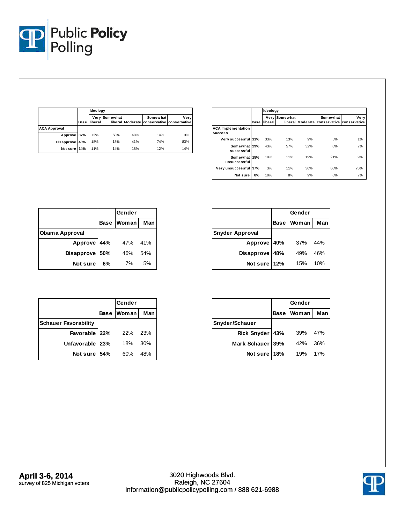

|                     |             | Ideology        |               |     |          |                                                    |  |
|---------------------|-------------|-----------------|---------------|-----|----------|----------------------------------------------------|--|
|                     | <b>Base</b> | <b>Iliberal</b> | Very Somewhat |     | Somewhat | Very<br>liberal Moderate conservative conservative |  |
| <b>ACA Approval</b> |             |                 |               |     |          |                                                    |  |
| Approve 37%         |             | 72%             | 68%           | 40% | 14%      | 3%                                                 |  |
| Disapprove 48%      |             | 18%             | 18%           | 41% | 74%      | 83%                                                |  |
| Not sure 14%        |             | 11%             | 14%           | 18% | 12%      | 14%                                                |  |

|                                             |             |         | Ideology             |     |                                                        |      |  |  |  |
|---------------------------------------------|-------------|---------|----------------------|-----|--------------------------------------------------------|------|--|--|--|
|                                             | <b>Base</b> | liberal | <b>Very Somewhat</b> |     | Somewhat<br>liberal Moderate conservative conservative | Very |  |  |  |
| <b>ACA Implementation</b><br><b>Success</b> |             |         |                      |     |                                                        |      |  |  |  |
| Very successful 11%                         |             | 33%     | 13%                  | 9%  | 5%                                                     | 1%   |  |  |  |
| Somewhat 29%<br>successful                  |             | 43%     | 57%                  | 32% | 8%                                                     | 7%   |  |  |  |
| Somewhat 15%<br>unsuccessful                |             | 10%     | 11%                  | 19% | 21%                                                    | 9%   |  |  |  |
| Very unsuccessful 37%                       |             | 3%      | 11%                  | 30% | 60%                                                    | 76%  |  |  |  |
| Not sure                                    | 8%          | 10%     | 8%                   | 9%  | 6%                                                     | 7%   |  |  |  |

|                |     | Gender     |     |
|----------------|-----|------------|-----|
|                |     | Base Woman | Man |
| Obama Approval |     |            |     |
| Approve 44%    |     | 47%        | 41% |
| Disapprove     | 50% | 46%        | 54% |
| Not sure       | 6%  | 7%         | 5%  |

|                        |             | Gender |     |  |
|------------------------|-------------|--------|-----|--|
|                        | <b>Base</b> | Woman  | Man |  |
| <b>Snyder Approval</b> |             |        |     |  |
| Approve 40%            |             | 37%    | 44% |  |
| Disapprove             | 48%         | 49%    | 46% |  |
| Not sure               | 12%         | 15%    | 10% |  |

|                             | Gender     |       |
|-----------------------------|------------|-------|
|                             | Base Woman | Man I |
| <b>Schauer Favorability</b> |            |       |
| Favorable 22%               | 22%        | 23%   |
| Unfavorable   23%           | 18%        | 30%   |
| Not sure 54%                | 60%        | 48%   |

|                 |     | Gender     |     |  |
|-----------------|-----|------------|-----|--|
|                 |     | Base Woman | Man |  |
| Snyder/Schauer  |     |            |     |  |
| Rick Snyder 43% |     | 39%        | 47% |  |
| Mark Schauer    | 39% | 42%        | 36% |  |
| Not sure        | 18% | 19%        | 17% |  |

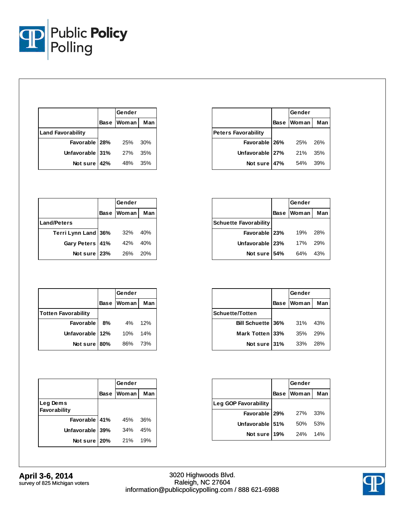

|                          |     | Gender     |     |
|--------------------------|-----|------------|-----|
|                          |     | Base Woman | Man |
| <b>Land Favorability</b> |     |            |     |
| Favorable 28%            |     | 25%        | 30% |
| Unfavorable 31%          |     | 27%        | 35% |
| Not sure                 | 42% | 48%        | 35% |

|                            | Gender     |       |
|----------------------------|------------|-------|
|                            | Base Woman | Man I |
| <b>Peters Favorability</b> |            |       |
| Favorable   26%            | 25%        | 26%   |
| Unfavorable   27%          | 21%        | 35%   |
| Not sure 47%               | 54%        | 39%   |

|                     | Gender     |     |
|---------------------|------------|-----|
|                     | Base Woman | Man |
| <b>Land/Peters</b>  |            |     |
| Terri Lynn Land 36% | 32%        | 40% |
| Gary Peters 41%     | 42%        | 40% |
| Not sure 23%        | 26%        | 20% |

|                              | Gender       |       |
|------------------------------|--------------|-------|
|                              | Base   Woman | Man   |
| <b>Schuette Favorability</b> |              |       |
| Favorable   23%              | 19%          | - 28% |
| Unfavorable   23%            | 17%          | - 29% |
| Not sure 54%                 | 64%          | 43%   |

|                            |             | Gender       |     |
|----------------------------|-------------|--------------|-----|
|                            | <b>Base</b> | <b>Woman</b> | Man |
| <b>Totten Favorability</b> |             |              |     |
| <b>Favorable</b>           | 8%          | 4%           | 12% |
| Unfavorable                | 12%         | 10%          | 14% |
| Not sure                   | 180%        | 86%          | 73% |

|                          | Gender       |     |
|--------------------------|--------------|-----|
|                          | Base   Woman | Man |
| <b>Schuette/Totten</b>   |              |     |
| <b>Bill Schuette 36%</b> | 31%          | 43% |
| Mark Totten 33%          | 35%          | 29% |
| Not sure 31%             | 33%          | 28% |

|                          |             | Gender |     |  |
|--------------------------|-------------|--------|-----|--|
|                          | <b>Base</b> | Woman  | Man |  |
| Leg Dems<br>Favorability |             |        |     |  |
| Favorable 41%            |             | 45%    | 36% |  |
| Unfavorable 39%          |             | 34%    | 45% |  |
| Not sure 20%             |             | 21%    | 19% |  |

|                      | Gender            |     |
|----------------------|-------------------|-----|
|                      | <b>Base Woman</b> | Man |
| Leg GOP Favorability |                   |     |
| Favorable   29%      | 27%               | 33% |
| Unfavorable 51%      | 50%               | 53% |
| Not sure 19%         | <b>24%</b>        | 14% |

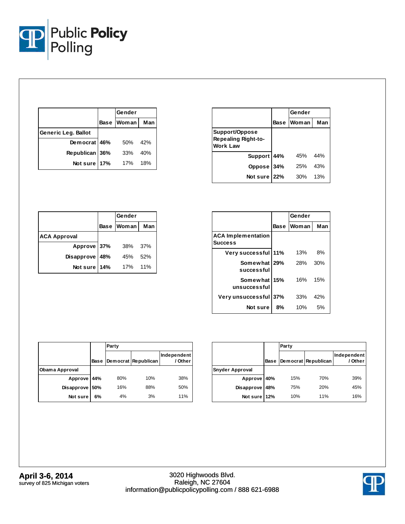

|                     | Gender     |     |
|---------------------|------------|-----|
|                     | Base Woman | Man |
| Generic Leg. Ballot |            |     |
| Democrat 46%        | 50%        | 42% |
| Republican 36%      | 33%        | 40% |
| Not sure 17%        | 17%        | 18% |

|                                                          | Gender     |     |
|----------------------------------------------------------|------------|-----|
|                                                          | Base Woman | Man |
| Support/Oppose<br><b>Repealing Right-to-</b><br>Work Law |            |     |
| Support 44%                                              | 45%        | 44% |
| Oppose 34%                                               | 25%        | 43% |
| Not sure 22%                                             | 30%        | 13% |

|                     | Gender      |       |      |
|---------------------|-------------|-------|------|
|                     | <b>Base</b> | Woman | Man  |
| <b>ACA Approval</b> |             |       |      |
| Approve 37%         |             | 38%   | -37% |
| <b>Disapprove</b>   | 48%         | 45%   | 52%  |
| Not sure            | 14%         | 17%   | 11%  |

|                                             |             | Gender |     |
|---------------------------------------------|-------------|--------|-----|
|                                             | <b>Base</b> | Woman  | Man |
| <b>ACA Implementation</b><br><b>Success</b> |             |        |     |
| Very successful 11%                         |             | 13%    | 8%  |
| Somewhat 29%<br>successful                  |             | 28%    | 30% |
| Somewhat 15%<br>unsuccessful                |             | 16%    | 15% |
| Very unsuccessful 37%                       |             | 33%    | 42% |
| Not sure                                    | 8%          | 10%    | 5%  |

|                |      | Party |                     |                        |  |
|----------------|------|-------|---------------------|------------------------|--|
|                | Base |       | Democrat Republican | Independent<br>/ Other |  |
| Obama Approval |      |       |                     |                        |  |
| Approve        | 44%  | 80%   | 10%                 | 38%                    |  |
| Disapprove     | 50%  | 16%   | 88%                 | 50%                    |  |
| Not sure       | 6%   | 4%    | 3%                  | 11%                    |  |

|                        |             | Party |                     |                        |
|------------------------|-------------|-------|---------------------|------------------------|
|                        | <b>Base</b> |       | Democrat Republican | Independent<br>/ Other |
| <b>Snyder Approval</b> |             |       |                     |                        |
| Approve                | 40%         | 15%   | 70%                 | 39%                    |
| Disapprove             | 48%         | 75%   | 20%                 | 45%                    |
| Not sure               | 12%         | 10%   | 11%                 | 16%                    |

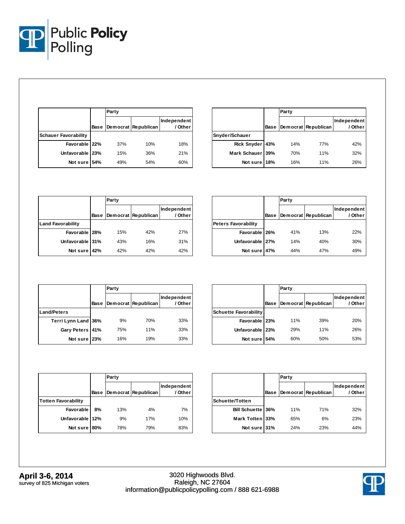

|                             |      | Party |                     |                        |
|-----------------------------|------|-------|---------------------|------------------------|
|                             | Base |       | Democrat Republican | Independent<br>/ Other |
| <b>Schauer Favorability</b> |      |       |                     |                        |
| Favorable 22%               |      | 37%   | 10%                 | 18%                    |
| Unfavorable   23%           |      | 15%   | 36%                 | 21%                    |
| Not sure                    | 54%  | 49%   | 54%                 | 60%                    |

|                    |      | Party |                     |                        |  |
|--------------------|------|-------|---------------------|------------------------|--|
|                    | Base |       | Democrat Republican | Independent<br>/ Other |  |
| Snyder/Schauer     |      |       |                     |                        |  |
| <b>Rick Snyder</b> | 43%  | 14%   | 77%                 | 42%                    |  |
| Mark Schauer 39%   |      | 70%   | 11%                 | 32%                    |  |
| Not sure           | 18%  | 16%   | 11%                 | 26%                    |  |

|                          |      | Party |                     |                        |  |
|--------------------------|------|-------|---------------------|------------------------|--|
|                          | Base |       | Democrat Republican | Independent<br>/ Other |  |
| <b>Land Favorability</b> |      |       |                     |                        |  |
| Favorable 28%            |      | 15%   | 42%                 | 27%                    |  |
| Unfavorable 31%          |      | 43%   | 16%                 | 31%                    |  |
| Not sure                 | 42%  | 42%   | 42%                 | 42%                    |  |

|                            |      | Party |                     |                        |
|----------------------------|------|-------|---------------------|------------------------|
|                            | Base |       | Democrat Republican | Independent<br>/ Other |
| <b>Peters Favorability</b> |      |       |                     |                        |
| Favorable 26%              |      | 41%   | 13%                 | 22%                    |
| Unfavorable                | 27%  | 14%   | 40%                 | 30%                    |
| Not sure                   | 47%  | 44%   | 47%                 | 49%                    |

|                     |             | Party |                     |                        |  |
|---------------------|-------------|-------|---------------------|------------------------|--|
|                     | <b>Base</b> |       | Democrat Republican | Independent<br>/ Other |  |
| <b>Land/Peters</b>  |             |       |                     |                        |  |
| Terri Lynn Land 36% |             | 9%    | 70%                 | 33%                    |  |
| Gary Peters 41%     |             | 75%   | 11%                 | 33%                    |  |
| Not sure 23%        |             | 16%   | 19%                 | 33%                    |  |

|                              |      | Party |                     |                        |  |  |  |
|------------------------------|------|-------|---------------------|------------------------|--|--|--|
|                              | Base |       | Democrat Republican | Independent<br>/ Other |  |  |  |
| <b>Schuette Favorability</b> |      |       |                     |                        |  |  |  |
| Favorable 23%                |      | 11%   | 39%                 | 20%                    |  |  |  |
| Unfavorable                  | 23%  | 29%   | 11%                 | 26%                    |  |  |  |
| Not sure                     | 54%  | 60%   | 50%                 | 53%                    |  |  |  |

|                            |      | Party |                     |                        |  |  |  |
|----------------------------|------|-------|---------------------|------------------------|--|--|--|
|                            | Base |       | Democrat Republican | Independent<br>/ Other |  |  |  |
| <b>Totten Favorability</b> |      |       |                     |                        |  |  |  |
| Favorable                  | 8%   | 13%   | 4%                  | 7%                     |  |  |  |
| Unfavorable                | 12%  | 9%    | 17%                 | 10%                    |  |  |  |
| Not sure                   | 80%  | 78%   | 79%                 | 83%                    |  |  |  |

|                          |      | Party |                     |                        |  |  |  |
|--------------------------|------|-------|---------------------|------------------------|--|--|--|
|                          | Base |       | Democrat Republican | Independent<br>/ Other |  |  |  |
| <b>Schuette/Totten</b>   |      |       |                     |                        |  |  |  |
| <b>Bill Schuette 36%</b> |      | 11%   | 71%                 | 32%                    |  |  |  |
| Mark Totten 33%          |      | 65%   | 6%                  | 23%                    |  |  |  |
| Not sure 31%             |      | 24%   | 23%                 | 44%                    |  |  |  |

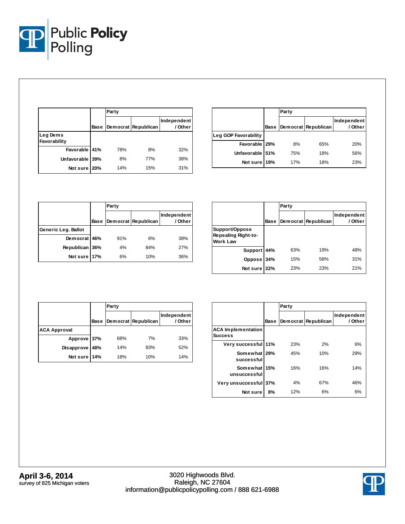

|                          |      | Party |                     |                        |  |  |  |  |
|--------------------------|------|-------|---------------------|------------------------|--|--|--|--|
|                          | Base |       | Democrat Republican | Independent<br>/ Other |  |  |  |  |
| Leg Dems<br>Favorability |      |       |                     |                        |  |  |  |  |
| Favorable 41%            |      | 78%   | 8%                  | 32%                    |  |  |  |  |
| Unfavorable              | 39%  | 8%    | 77%                 | 38%                    |  |  |  |  |
| Not sure                 | 20%  | 14%   | 15%                 | 31%                    |  |  |  |  |

|                      |      | Party |                     |                        |  |  |  |
|----------------------|------|-------|---------------------|------------------------|--|--|--|
|                      | Base |       | Democrat Republican | Independent<br>/ Other |  |  |  |
| Leg GOP Favorability |      |       |                     |                        |  |  |  |
| Favorable 29%        |      | 8%    | 65%                 | 20%                    |  |  |  |
| Unfavorable 51%      |      | 75%   | 18%                 | 56%                    |  |  |  |
| Not sure             | 19%  | 17%   | 18%                 | 23%                    |  |  |  |

|                     |      | Party |                     |                        |  |  |  |
|---------------------|------|-------|---------------------|------------------------|--|--|--|
|                     | Base |       | Democrat Republican | Independent<br>/ Other |  |  |  |
| Generic Leg. Ballot |      |       |                     |                        |  |  |  |
| Democrat 46%        |      | 91%   | 6%                  | 38%                    |  |  |  |
| <b>Republican</b>   | 36%  | 4%    | 84%                 | 27%                    |  |  |  |
| Not sure            | 17%  | 6%    | 10%                 | 36%                    |  |  |  |

|                                                          |      | Party |                     |                        |  |  |  |
|----------------------------------------------------------|------|-------|---------------------|------------------------|--|--|--|
|                                                          | Base |       | Democrat Republican | Independent<br>/ Other |  |  |  |
| Support/Oppose<br>Repealing Right-to-<br><b>Work Law</b> |      |       |                     |                        |  |  |  |
| <b>Support</b>                                           | 44%  | 63%   | 19%                 | 48%                    |  |  |  |
| Oppose                                                   | 34%  | 15%   | 58%                 | 31%                    |  |  |  |
| Not sure                                                 | 22%  | 23%   | 23%                 | 21%                    |  |  |  |

|                     |             | Party |                     |                        |
|---------------------|-------------|-------|---------------------|------------------------|
|                     | <b>Base</b> |       | Democrat Republican | Independent<br>/ Other |
| <b>ACA Approval</b> |             |       |                     |                        |
| Approve 37%         |             | 68%   | 7%                  | 33%                    |
| Disapprove          | 48%         | 14%   | 83%                 | 52%                    |
| Not sure 14%        |             | 18%   | 10%                 | 14%                    |

|                                             |      | Party |                     |                        |  |  |  |
|---------------------------------------------|------|-------|---------------------|------------------------|--|--|--|
|                                             | Base |       | Democrat Republican | Independent<br>/ Other |  |  |  |
| <b>ACA Implementation</b><br><b>Success</b> |      |       |                     |                        |  |  |  |
| Very successful 11%                         |      | 23%   | 2%                  | 6%                     |  |  |  |
| Somewhat 29%<br>successful                  |      | 45%   | 10%                 | 29%                    |  |  |  |
| Somewhat 15%<br>unsuccessful                |      | 16%   | 16%                 | 14%                    |  |  |  |
| Very unsuccessful 37%                       |      | 4%    | 67%                 | 46%                    |  |  |  |
| Not sure                                    | 8%   | 12%   | 6%                  | 6%                     |  |  |  |

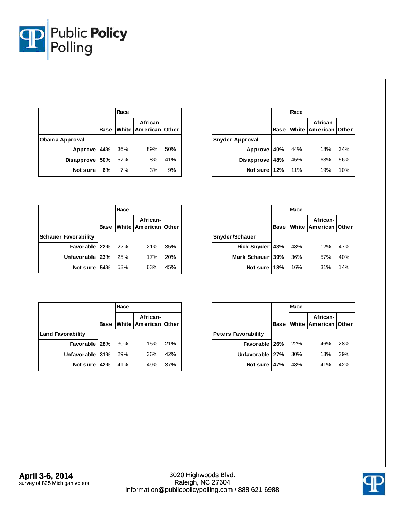

|                     |    | Race |                                       |     |
|---------------------|----|------|---------------------------------------|-----|
|                     |    |      | African-<br>Base White American Other |     |
| Obama Approval      |    |      |                                       |     |
| Approve 44% 36%     |    |      | 89%                                   | 50% |
| Disapprove $ 50\% $ |    | 57%  | 8%                                    | 41% |
| Not sure I          | 6% | 7%   | 3%                                    | 9%  |

|                        |     | Race |                                              |     |
|------------------------|-----|------|----------------------------------------------|-----|
|                        |     |      | African-<br><b>Base White American Other</b> |     |
| <b>Snyder Approval</b> |     |      |                                              |     |
| Approve 40%            |     | 44%  | 18%                                          | 34% |
| Disapprove             | 48% | 45%  | 63%                                          | 56% |
| Not sure 12%           |     | 11%  | 19%                                          | 10% |

|                             |             | Race |                                  |     |
|-----------------------------|-------------|------|----------------------------------|-----|
|                             | <b>Base</b> |      | African-<br>White American Other |     |
| <b>Schauer Favorability</b> |             |      |                                  |     |
| Favorable 22% 22%           |             |      | 21%                              | 35% |
| Unfavorable   23%           |             | 25%  | 17%                              | 20% |
| Not sure $ 54\% $           |             | -53% | 63%                              | 45% |

|                   |             | Race |                                        |     |
|-------------------|-------------|------|----------------------------------------|-----|
|                   | <b>Base</b> |      | White African-<br>White American Other |     |
| Snyder/Schauer    |             |      |                                        |     |
| Rick Snyder   43% |             | 48%  | 12%                                    | 47% |
| Mark Schauer 39%  |             | 36%  | 57%                                    | 40% |
| Not sure 18%      |             | 16%  | 31%                                    | 14% |

|                          |             | Race |                                  |      |
|--------------------------|-------------|------|----------------------------------|------|
|                          | <b>Base</b> |      | African-<br>White American Other |      |
| <b>Land Favorability</b> |             |      |                                  |      |
| Favorable 28% 30%        |             |      | 15% 21%                          |      |
| Unfavorable 31% 29%      |             |      | 36%                              | 42%  |
| Not sure   42% 41%       |             |      | 49%                              | -37% |

|                            |             | Race |                                  |     |
|----------------------------|-------------|------|----------------------------------|-----|
|                            | <b>Base</b> |      | African-<br>White American Other |     |
| <b>Peters Favorability</b> |             |      |                                  |     |
| Favorable 26% 22%          |             |      | 46%                              | 28% |
| Unfavorable 27%            |             | 30%  | 13%                              | 29% |
| Not sure 47%               |             | 48%  | 41%                              | 42% |

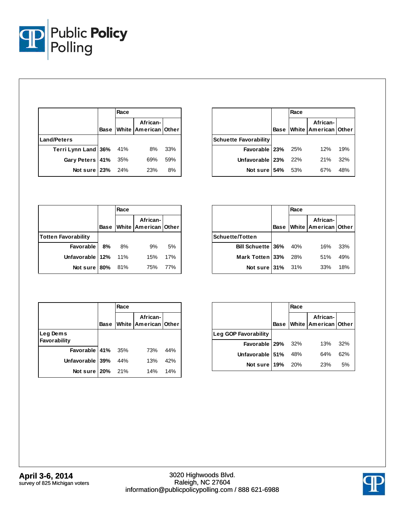

|                         | Race |                                              |     |
|-------------------------|------|----------------------------------------------|-----|
|                         |      | African-<br><b>Base White American Other</b> |     |
| <b>Land/Peters</b>      |      |                                              |     |
| Terri Lynn Land 36% 41% |      | 8%                                           | 33% |
| Gary Peters   41%       | 35%  | 69%                                          | 59% |
| Not sure $23%$          | 24%  | 23%                                          | 8%  |

|                              | Race  |                                       |     |
|------------------------------|-------|---------------------------------------|-----|
|                              |       | African-<br>Base White American Other |     |
| <b>Schuette Favorability</b> |       |                                       |     |
| Favorable 23% 25%            |       | 12%                                   | 19% |
| Unfavorable 23%              | 22%   | 21%                                   | 32% |
| Notsure 54%                  | - 53% | 67%                                   | 48% |

|                            |             | Race |                                  |     |
|----------------------------|-------------|------|----------------------------------|-----|
|                            | <b>Base</b> |      | African-<br>White American Other |     |
| <b>Totten Favorability</b> |             |      |                                  |     |
| <b>Favorable</b>           | 8%          | 8%   | 9%                               | 5%  |
| Unfavorable   12%          |             | 11%  | 15%                              | 17% |
| Not sure 80%               |             | 81%  | 75%                              | 77% |

|                        |             | Race |                                  |     |
|------------------------|-------------|------|----------------------------------|-----|
|                        | <b>Base</b> |      | African-<br>White American Other |     |
| <b>Schuette/Totten</b> |             |      |                                  |     |
| Bill Schuette 36% 40%  |             |      | 16%                              | 33% |
| Mark Totten 33%        |             | 28%  | 51%                              | 49% |
| Not sure 31% 31%       |             |      | 33%                              | 18% |

|                          |      | Race |                                  |     |
|--------------------------|------|------|----------------------------------|-----|
|                          | Base |      | African-<br>White American Other |     |
| Leg Dems<br>Favorability |      |      |                                  |     |
| Favorable 41%            |      | 35%  | 73%                              | 44% |
| Unfavorable 39%          |      | 44%  | 13%                              | 42% |
| Not sure 20%             |      | 21%  | 14%                              | 14% |

|                      |             | Race |                                  |     |
|----------------------|-------------|------|----------------------------------|-----|
|                      | <b>Base</b> |      | African-<br>White American Other |     |
| Leg GOP Favorability |             |      |                                  |     |
| Favorable 29%        |             | 32%  | 13%                              | 32% |
| Unfavorable 51%      |             | 48%  | 64%                              | 62% |
| Not sure 19% 20%     |             |      | 23%                              | 5%  |

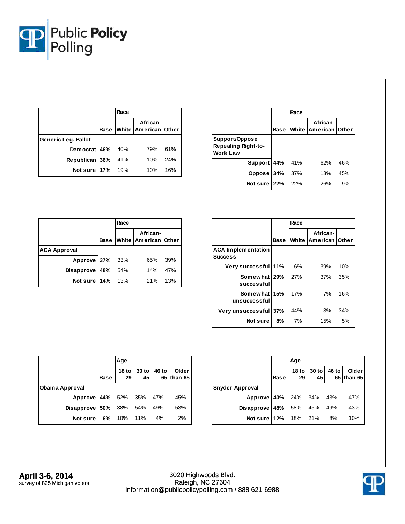

|                     | Race |                                             |     |
|---------------------|------|---------------------------------------------|-----|
|                     |      | African-<br>Base   White   American   Other |     |
| Generic Leg. Ballot |      |                                             |     |
| Democrat 46%        | 40%  | 79%                                         | 61% |
| Republican 36%      | 41%  | 10%                                         | 24% |
| Not sure 17%        | 19%  | 10%                                         | 16% |

|                                                          |      | Race |                                  |     |
|----------------------------------------------------------|------|------|----------------------------------|-----|
|                                                          | Base |      | African-<br>White American Other |     |
| Support/Oppose<br><b>Repealing Right-to-</b><br>Work Law |      |      |                                  |     |
| Support 44% 41%                                          |      |      | 62%                              | 46% |
| Oppose 34% 37%                                           |      |      | 13%                              | 45% |
| Not sure $22%$                                           |      | 22%  | 26%                              | 9%  |

|                     |      | Race |                                  |     |
|---------------------|------|------|----------------------------------|-----|
|                     | Base |      | African-<br>White American Other |     |
| <b>ACA Approval</b> |      |      |                                  |     |
| Approve 37% 33%     |      |      | 65%                              | 39% |
| Disapprove 48%      |      | 54%  | 14%                              | 47% |
| Not sure   14% 13%  |      |      | 21%                              | 13% |

|                                             |      | Race |                                      |     |  |  |
|---------------------------------------------|------|------|--------------------------------------|-----|--|--|
|                                             | Base |      | African-<br>White   American   Other |     |  |  |
| <b>ACA Implementation</b><br><b>Success</b> |      |      |                                      |     |  |  |
| Very successful 11%                         |      | 6%   | 39%                                  | 10% |  |  |
| Somewhat $29\%$ 27%<br>successful           |      |      | 37%                                  | 35% |  |  |
| <b>Somewhat 15%</b> 17%<br>unsuccessful     |      |      | 7%                                   | 16% |  |  |
| Very unsuccessful 37%                       |      | 44%  | 3%                                   | 34% |  |  |
| Notsure                                     | 8%   | 7%   | 15%                                  | 5%  |  |  |

|                         |             | Age                 |               |       |                     |
|-------------------------|-------------|---------------------|---------------|-------|---------------------|
|                         | <b>Base</b> | 18 to $\vert$<br>29 | $30$ to<br>45 | 46 to | Older<br>65 than 65 |
| Obama Approval          |             |                     |               |       |                     |
| Approve 44% 52% 35% 47% |             |                     |               |       | 45%                 |
| Disapprove $ 50\% $     |             | 38% 54% 49%         |               |       | 53%                 |
| Not sure                | 6%          | 10% 11%             |               | 4%    | 2%                  |

|                                |      | Age |  |                                             |
|--------------------------------|------|-----|--|---------------------------------------------|
|                                | Base |     |  | 18 to 30 to 46 to Older<br>29 45 65 than 65 |
| <b>Snyder Approval</b>         |      |     |  |                                             |
| Approve 40% 24% 34% 43%        |      |     |  | 47%                                         |
| Disapprove 48% 58% 45% 49%     |      |     |  | 43%                                         |
| <b>Not sure 12%</b> 18% 21% 8% |      |     |  | 10%                                         |

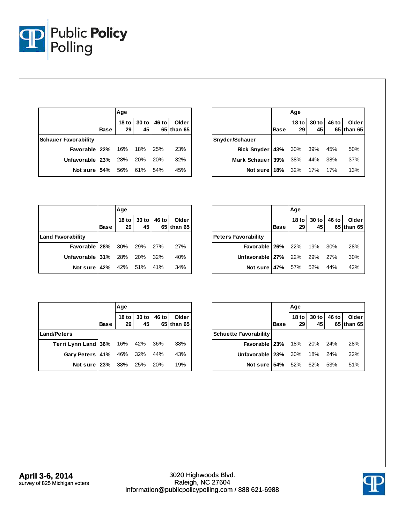

|                                  |             | Age                 |               |       |                     |  |
|----------------------------------|-------------|---------------------|---------------|-------|---------------------|--|
|                                  | <b>Base</b> | 18 to $\vert$<br>29 | $30$ to<br>45 | 46 to | Older<br>65 than 65 |  |
| <b>Schauer Favorability</b>      |             |                     |               |       |                     |  |
| <b>Favorable 22%</b> 16% 18% 25% |             |                     |               |       | 23%                 |  |
| Unfavorable $23\%$ 28% 20%       |             |                     |               | 20%   | 32%                 |  |
| Not sure   54% 56% 61% 54%       |             |                     |               |       | 45%                 |  |

|                             |      | Age                    |               |       |                            |
|-----------------------------|------|------------------------|---------------|-------|----------------------------|
|                             | Base | 18 <sub>to</sub><br>29 | $30$ to<br>45 | 46 to | <b>Older</b><br>65 than 65 |
| Snyder/Schauer              |      |                        |               |       |                            |
| Rick Snyder 43% 30% 39% 45% |      |                        |               |       | 50%                        |
| Mark Schauer 39%            |      |                        | 38% 44% 38%   |       | 37%                        |
| Not sure 18% 32% 17% 17%    |      |                        |               |       | 13%                        |

|                                      |      | Age |                                                 |  |                     |  |
|--------------------------------------|------|-----|-------------------------------------------------|--|---------------------|--|
|                                      | Base | 29  | 18 to $\vert$ 30 to $\vert$ 46 to $\vert$<br>45 |  | Older<br>65 than 65 |  |
| <b>Land Favorability</b>             |      |     |                                                 |  |                     |  |
| <b>Favorable 28%</b> 30% 29% 27% 27% |      |     |                                                 |  |                     |  |
| Unfavorable 31% 28% 20% 32%          |      |     |                                                 |  | 40%                 |  |
| Not sure 42% 42% 51% 41%             |      |     |                                                 |  | 34%                 |  |

|                                      |             | Age |                            |  |                     |  |
|--------------------------------------|-------------|-----|----------------------------|--|---------------------|--|
|                                      | <b>Base</b> |     | 18 to 30 to 46 to 29 45 65 |  | Older<br>65 than 65 |  |
| <b>Peters Favorability</b>           |             |     |                            |  |                     |  |
| <b>Favorable 26%</b> 22% 19% 30% 28% |             |     |                            |  |                     |  |
| Unfavorable 27% 22% 29% 27%          |             |     |                            |  | 30%                 |  |
| Not sure   47% 57% 52% 44%           |             |     |                            |  | 42%                 |  |

|                                 |             | Age |  |  |                                             |  |
|---------------------------------|-------------|-----|--|--|---------------------------------------------|--|
|                                 | <b>Base</b> |     |  |  | 18 to 30 to 46 to Older<br>29 45 65 than 65 |  |
| <b>Land/Peters</b>              |             |     |  |  |                                             |  |
| Terri Lynn Land 36% 16% 42% 36% |             |     |  |  | 38%                                         |  |
| Gary Peters 41% 46% 32% 44%     |             |     |  |  | 43%                                         |  |
| Not sure   23% 38% 25% 20% 19%  |             |     |  |  |                                             |  |

|                                      |             | Age |  |  |                                               |  |
|--------------------------------------|-------------|-----|--|--|-----------------------------------------------|--|
|                                      | <b>Base</b> |     |  |  | 18 to 30 to 46 to Older  <br>29 45 65 than 65 |  |
| <b>Schuette Favorability</b>         |             |     |  |  |                                               |  |
| <b>Favorable 23%</b> 18% 20% 24% 28% |             |     |  |  |                                               |  |
| Unfavorable 23% 30% 18% 24% 22%      |             |     |  |  |                                               |  |
| Not sure 54% 52% 62% 53% 51%         |             |     |  |  |                                               |  |

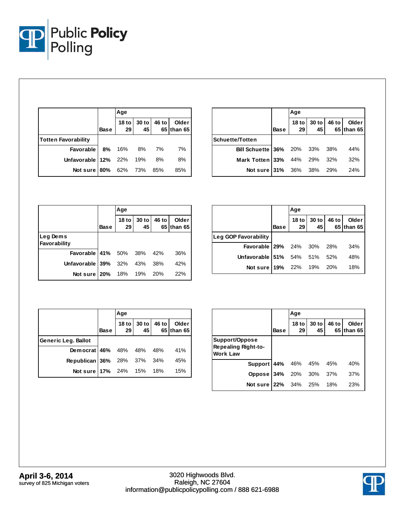

|                            |             | Age             |               |       |                     |  |
|----------------------------|-------------|-----------------|---------------|-------|---------------------|--|
|                            | <b>Base</b> | 18 to $ $<br>29 | $30$ to<br>45 | 46 to | Older<br>65 than 65 |  |
| <b>Totten Favorability</b> |             |                 |               |       |                     |  |
| <b>Favorable</b>           | 8% 16%      |                 | 8%            | 7%    | 7%                  |  |
| Unfavorable 12% 22%        |             |                 | 19%           | 8%    | 8%                  |  |
| Not sure 80%               |             | 62% 73%         |               | - 85% | 85%                 |  |

|                               |             | Age         |                   |       |                      |
|-------------------------------|-------------|-------------|-------------------|-------|----------------------|
|                               | <b>Base</b> | 29          | 18 to 30 to<br>45 | 46 to | Older<br>65 Ithan 65 |
| <b>Schuette/Totten</b>        |             |             |                   |       |                      |
| Bill Schuette 36% 20% 33% 38% |             |             |                   |       | 44%                  |
| Mark Totten 33%               |             | 44% 29% 32% |                   |       | 32%                  |
| Not sure 31% 36% 38%          |             |             |                   | 29%   | 24%                  |

|                                  |             | Age                    |                 |       |                     |  |
|----------------------------------|-------------|------------------------|-----------------|-------|---------------------|--|
|                                  | <b>Base</b> | 18 <sub>to</sub><br>29 | $30$ to<br>45 I | 46 to | Older<br>65 than 65 |  |
| Leg Dems<br>Favorability         |             |                        |                 |       |                     |  |
| <b>Favorable 41%</b> 50% 38% 42% |             |                        |                 |       | 36%                 |  |
| Unfavorable $39\%$ 32% 43%       |             |                        |                 | 38%   | 42%                 |  |
| Not sure 20% 18% 19% 20%         |             |                        |                 |       | 22%                 |  |

|                                  |             | Aqe |                   |       |                     |
|----------------------------------|-------------|-----|-------------------|-------|---------------------|
|                                  | <b>Base</b> | 29  | 18 to 30 to<br>45 | 46 to | Older<br>65 than 65 |
| Leg GOP Favorability             |             |     |                   |       |                     |
| <b>Favorable 29%</b> 24% 30% 28% |             |     |                   |       | 34%                 |
| Unfavorable 51% 54% 51% 52%      |             |     |                   |       | 48%                 |
| <b>Not sure 19%</b> 22% 19% 20%  |             |     |                   |       | 18%                 |

|                                 |      | Age |                                                                           |  |                           |  |
|---------------------------------|------|-----|---------------------------------------------------------------------------|--|---------------------------|--|
|                                 | Base |     | $\begin{array}{c c} 18 \text{ to} & 30 \text{ to} \\ 29 & 45 \end{array}$ |  | 46 to Older<br>65 than 65 |  |
| Generic Leg. Ballot             |      |     |                                                                           |  |                           |  |
| <b>Democrat</b> 46% 48% 48% 48% |      |     |                                                                           |  | 41%                       |  |
| Republican 36% 28% 37% 34%      |      |     |                                                                           |  | 45%                       |  |
| Not sure 17% 24% 15% 18%        |      |     |                                                                           |  | 15%                       |  |

|                                                                 |             | Age           |             |       |                            |
|-----------------------------------------------------------------|-------------|---------------|-------------|-------|----------------------------|
|                                                                 | <b>Base</b> | $18$ to<br>29 | 30 to<br>45 | 46 to | <b>Older</b><br>65 than 65 |
| Support/Oppose<br><b>Repealing Right-to-</b><br><b>Work Law</b> |             |               |             |       |                            |
| <b>Support 44%</b> 46% 45%                                      |             |               |             | 45%   | 40%                        |
| <b>Oppose 34%</b> 20% 30% 37%                                   |             |               |             |       | 37%                        |
| Not sure 22%                                                    |             | 34% 25%       |             | 18%   | 23%                        |

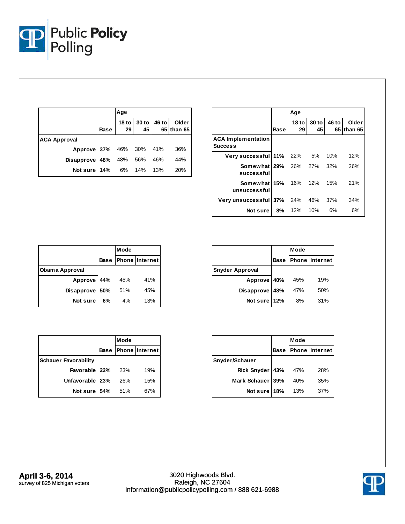

|                            |             | Age                                                  |              |              |                     |
|----------------------------|-------------|------------------------------------------------------|--------------|--------------|---------------------|
|                            | <b>Base</b> | $\begin{array}{c c} 18 \text{ to} \\ 29 \end{array}$ | $30$ to $45$ | <b>46 to</b> | Older<br>65 than 65 |
| <b>ACA Approval</b>        |             |                                                      |              |              |                     |
| Approve 37% 46% 30% 41%    |             |                                                      |              |              | 36%                 |
| Disapprove 48% 48% 56% 46% |             |                                                      |              |              | 44%                 |
| Not sure 14% 6% 14% 13%    |             |                                                      |              |              | 20%                 |

|                                           |      | Age    |                     |       |                      |
|-------------------------------------------|------|--------|---------------------|-------|----------------------|
|                                           | Base | 29     | 18 to 30 to<br>45 I | 46 to | Older<br>65 Ithan 65 |
| <b>ACA Implementation</b><br>Success      |      |        |                     |       |                      |
| Very successful 11% 22% 5%                |      |        |                     | 10%   | 12%                  |
| <b>Somewhat 29%</b> 26% 27%<br>successful |      |        |                     | 32%   | 26%                  |
| Somewhat 15% 16%<br>unsuccessful          |      |        | 12%                 | 15%   | 21%                  |
| Very unsuccessful 37% 24% 46%             |      |        |                     | 37%   | 34%                  |
| Notsure l                                 |      | 8% 12% | 10%                 | 6%    | 6%                   |

|                       |     | Mode |                            |  |
|-----------------------|-----|------|----------------------------|--|
|                       |     |      | <b>Base Phone Internet</b> |  |
| <b>Obama Approval</b> |     |      |                            |  |
| Approve 44%           |     | 45%  | 41%                        |  |
| Disapprove            | 50% | 51%  | 45%                        |  |
| Not sure              | 6%  | 4%   | 13%                        |  |

|                        | Mode |                            |  |
|------------------------|------|----------------------------|--|
|                        |      | <b>Base Phone Internet</b> |  |
| <b>Snyder Approval</b> |      |                            |  |
| Approve 40%            | 45%  | 19%                        |  |
| Disapprove 48%         | 47%  | 50%                        |  |
| Not sure 12%           | 8%   | 31%                        |  |

|                             | <b>Mode</b> |                     |  |
|-----------------------------|-------------|---------------------|--|
|                             |             | Base Phone Internet |  |
| <b>Schauer Favorability</b> |             |                     |  |
| Favorable 22%               | 23%         | 19%                 |  |
| Unfavorable   23%           | 26%         | 15%                 |  |
| Not sure 54%                | 51%         | 67%                 |  |

|                  | Mode |     |                            |
|------------------|------|-----|----------------------------|
|                  |      |     | <b>Base Phone Internet</b> |
| Snyder/Schauer   |      |     |                            |
| Rick Snyder 43%  |      | 47% | 28%                        |
| Mark Schauer 39% |      | 40% | 35%                        |
| Not sure 18%     |      | 13% | 37%                        |

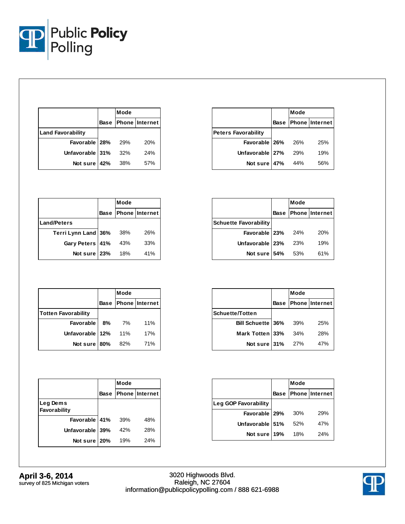

|                          | Mode |                            |
|--------------------------|------|----------------------------|
|                          |      | <b>Base Phone Internet</b> |
| <b>Land Favorability</b> |      |                            |
| Favorable   28%          | 29%  | 20%                        |
| Unfavorable 31%          | 32%  | 24%                        |
| Not sure 42%             | 38%  | 57%                        |

|                            | Mode |                            |
|----------------------------|------|----------------------------|
|                            |      | <b>Base Phone Internet</b> |
| <b>Peters Favorability</b> |      |                            |
| Favorable 26%              | 26%  | 25%                        |
| Unfavorable 27%            | 29%  | 19%                        |
| Not sure 47%               | 44%  | .56%                       |

|                     | Mode |                            |  |
|---------------------|------|----------------------------|--|
|                     |      | <b>Base Phone Internet</b> |  |
| <b>Land/Peters</b>  |      |                            |  |
| Terri Lynn Land 36% | 38%  | 26%                        |  |
| Gary Peters 41%     | 43%  | 33%                        |  |
| Not sure 23%        | 18%  | 41%                        |  |

|                              | Mode |                            |
|------------------------------|------|----------------------------|
|                              |      | <b>Base Phone Internet</b> |
| <b>Schuette Favorability</b> |      |                            |
| Favorable 23% 24%            |      | 20%                        |
| Unfavorable 23%              | 23%  | 19%                        |
| Not sure 54%                 | 53%  | 61%                        |

|                            |    | Mode |                            |
|----------------------------|----|------|----------------------------|
|                            |    |      | <b>Base Phone Internet</b> |
| <b>Totten Favorability</b> |    |      |                            |
| Favorable                  | 8% | 7%   | 11%                        |
| Unfavorable 12%            |    | 11%  | 17%                        |
| Not sure 80%               |    | 82%  | 71%                        |

|                          |      | Mode |                       |  |
|--------------------------|------|------|-----------------------|--|
|                          | Base |      | <b>Phone Internet</b> |  |
| Leg Dems<br>Favorability |      |      |                       |  |
| Favorable 41%            |      | 39%  | 48%                   |  |
| <b>Unfavorable</b>       | 39%  | 42%  | 28%                   |  |
| Not sure 20%             |      | 19%  | 24%                   |  |

|                        | Mode |                            |
|------------------------|------|----------------------------|
|                        |      | <b>Base Phone Internet</b> |
| <b>Schuette/Totten</b> |      |                            |
| Bill Schuette 36%      | 39%  | 25%                        |
| Mark Totten 33%        | 34%  | 28%                        |
| Not sure 31%           | 27%  | 47%                        |

|                      | Mode |                            |
|----------------------|------|----------------------------|
|                      |      | <b>Base Phone Internet</b> |
| Leg GOP Favorability |      |                            |
| Favorable   29% 30%  |      | <b>29%</b>                 |
| Unfavorable 51%      | 52%  | 47%                        |
| Not sure 19%         | 18%  | 24%                        |